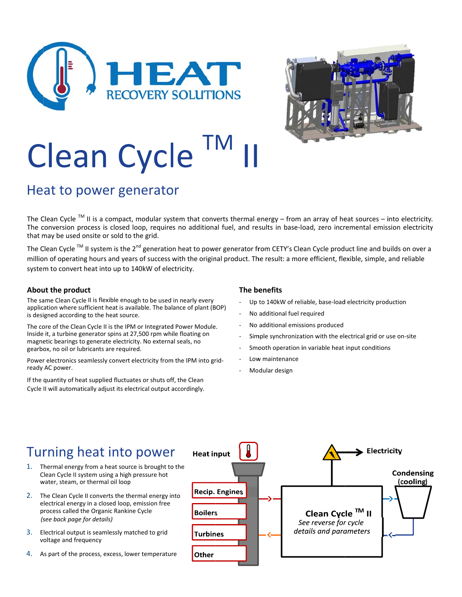



# **Clean Cycle**

## Heat to power generator

The Clean Cycle<sup>™</sup> II is a compact, modular system that converts thermal energy – from an array of heat sources – into electricity. The conversion process is closed loop, requires no additional fuel, and results in base-load, zero incremental emission electricity that may be used onsite or sold to the grid.

The Clean Cycle<sup>™</sup> II system is the 2<sup>nd</sup> generation heat to power generator from CETY's Clean Cycle product line and builds on over a million of operating hours and years of success with the original product. The result: a more efficient, flexible, simple, and reliable system to convert heat into up to 140kW of electricity.

#### About the product

The same Clean Cycle II is flexible enough to be used in nearly every application where sufficient heat is available. The balance of plant (BOP) is designed according to the heat source.

The core of the Clean Cycle II is the IPM or Integrated Power Module. Inside it, a turbine generator spins at 27,500 rpm while floating on magnetic bearings to generate electricity. No external seals, no gearbox, no oil or lubricants are required.

Power electronics seamlessly convert electricity from the IPM into gridready AC power.

If the quantity of heat supplied fluctuates or shuts off, the Clean Cycle II will automatically adjust its electrical output accordingly.

#### The benefits

- Up to 140kW of reliable, base-load electricity production
- No additional fuel required
- No additional emissions produced
- Simple synchronization with the electrical grid or use on-site
- Smooth operation in variable heat input conditions
- Low maintenance
- Modular design

## Turning heat into power

- 1. Thermal energy from a heat source is brought to the Clean Cycle II system using a high pressure hot water, steam, or thermal oil loop
- 2. The Clean Cycle II converts the thermal energy into electrical energy in a closed loop, emission free process called the Organic Rankine Cycle (see back page for details)
- 3. Electrical output is seamlessly matched to grid voltage and frequency
- 4. As part of the process, excess, lower temperature

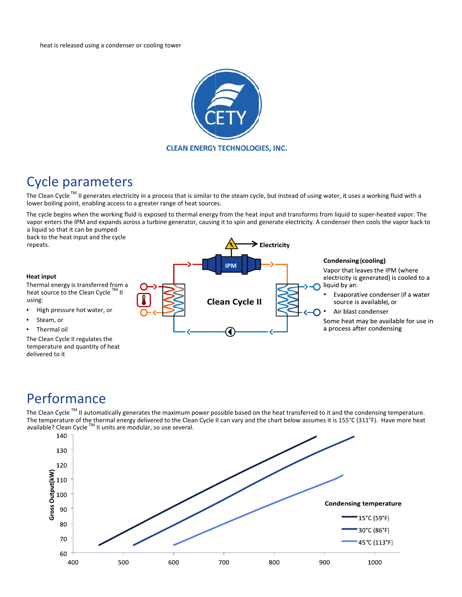

## **Cycle parameters**

The Clean Cycle™ II generates electricity in a process that is similar to the steam cycle, but instead of using water, it uses a working fluid with a lower boiling point, enabling access to a greater range of heat sources.

The cycle begins when the working fluid is exposed to thermal energy from the heat input and transforms from liquid to super-heated vapor. The vapor enters the IPM and expands across a turbine generator, causing it to spin and generate electricity. A condenser then cools the vapor back to a liquid so that it can be pumped

back to the heat input and the cycle repeats.

#### **Heat input**

Thermal energy is transferred from a heat source to the Clean Cycle ™ II using:

- High pressure hot water, or
- Steam, or
- Thermal oil

The Clean Cycle II regulates the temperature and quantity of heat delivered to it



## Performance

The Clean Cycle<sup>TM</sup> II automatically generates the maximum power possible based on the heat transferred to it and the condensing temperature. The temperature of the thermal energy delivered to the Clean Cycle II can vary and the chart below assumes it is 155°C (311°F). Have more heat available? Clean Cycle<sup>™</sup> II units are modular, so use several.

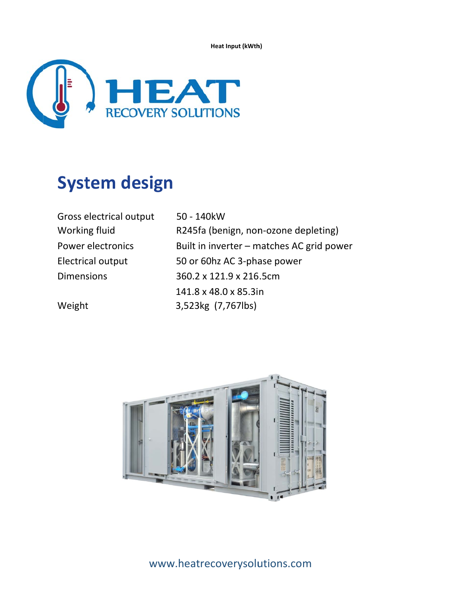Heat Input (kWth)



## **System design**

| Gross electrical output | 50 - 140kW                                |
|-------------------------|-------------------------------------------|
| Working fluid           | R245fa (benign, non-ozone depleting)      |
| Power electronics       | Built in inverter - matches AC grid power |
| Electrical output       | 50 or 60hz AC 3-phase power               |
| <b>Dimensions</b>       | 360.2 x 121.9 x 216.5cm                   |
|                         | 141.8 x 48.0 x 85.3in                     |
| Weight                  | 3,523kg (7,767lbs)                        |



www.heatrecoverysolutions.com